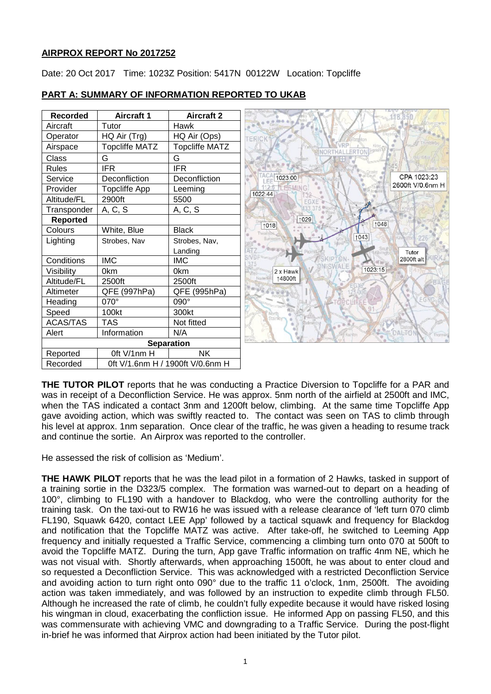# **AIRPROX REPORT No 2017252**

Date: 20 Oct 2017 Time: 1023Z Position: 5417N 00122W Location: Topcliffe

| <b>Recorded</b> | Aircraft 1            | <b>Aircraft 2</b>                |                             |
|-----------------|-----------------------|----------------------------------|-----------------------------|
| Aircraft        | Tutor                 | Hawk                             |                             |
| Operator        | HQ Air (Trg)          | HQ Air (Ops)                     | TERICK                      |
| Airspace        | <b>Topcliffe MATZ</b> | <b>Topcliffe MATZ</b>            |                             |
| Class           | G                     | G                                |                             |
| <b>Rules</b>    | <b>IFR</b>            | <b>IFR</b>                       |                             |
| Service         | Deconfliction         | Deconfliction                    | CPA 1023:23<br>1023:00      |
| Provider        | <b>Topcliffe App</b>  | Leeming                          | 2600ft V/0.6nm H<br>1022:44 |
| Altitude/FL     | 2900ft                | 5500                             |                             |
| Transponder     | A, C, S               | A, C, S                          |                             |
| <b>Reported</b> |                       |                                  | ↑029<br>↑048<br>1018        |
| Colours         | White, Blue           | <b>Black</b>                     |                             |
| Lighting        | Strobes, Nav          | Strobes, Nav,                    | 1043                        |
|                 |                       | Landing                          | Tutor                       |
| Conditions      | <b>IMC</b>            | <b>IMC</b>                       | 2800ft alt                  |
| Visibility      | 0km                   | 0km                              | 1023:15<br>2 x Hawk         |
| Altitude/FL     | 2500ft                | 2500ft                           | ↑4800ft                     |
| Altimeter       | QFE (997hPa)          | QFE (995hPa)                     |                             |
| Heading         | 070°                  | 090°                             |                             |
| Speed           | 100kt                 | 300kt                            |                             |
| <b>ACAS/TAS</b> | <b>TAS</b>            | Not fitted                       |                             |
| Alert           | Information           | N/A                              | <b>DALTON</b><br>Rahfor     |
|                 |                       | <b>Separation</b>                |                             |
| Reported        | Oft V/1nm H           | <b>NK</b>                        |                             |
| Recorded        |                       | 0ft V/1.6nm H / 1900ft V/0.6nm H |                             |

# **PART A: SUMMARY OF INFORMATION REPORTED TO UKAB**

**THE TUTOR PILOT** reports that he was conducting a Practice Diversion to Topcliffe for a PAR and was in receipt of a Deconfliction Service. He was approx. 5nm north of the airfield at 2500ft and IMC, when the TAS indicated a contact 3nm and 1200ft below, climbing. At the same time Topcliffe App gave avoiding action, which was swiftly reacted to. The contact was seen on TAS to climb through his level at approx. 1nm separation. Once clear of the traffic, he was given a heading to resume track and continue the sortie. An Airprox was reported to the controller.

He assessed the risk of collision as 'Medium'.

**THE HAWK PILOT** reports that he was the lead pilot in a formation of 2 Hawks, tasked in support of a training sortie in the D323/5 complex. The formation was warned-out to depart on a heading of 100°, climbing to FL190 with a handover to Blackdog, who were the controlling authority for the training task. On the taxi-out to RW16 he was issued with a release clearance of 'left turn 070 climb FL190, Squawk 6420, contact LEE App' followed by a tactical squawk and frequency for Blackdog and notification that the Topcliffe MATZ was active. After take-off, he switched to Leeming App frequency and initially requested a Traffic Service, commencing a climbing turn onto 070 at 500ft to avoid the Topcliffe MATZ. During the turn, App gave Traffic information on traffic 4nm NE, which he was not visual with. Shortly afterwards, when approaching 1500ft, he was about to enter cloud and so requested a Deconfliction Service. This was acknowledged with a restricted Deconfliction Service and avoiding action to turn right onto 090° due to the traffic 11 o'clock, 1nm, 2500ft. The avoiding action was taken immediately, and was followed by an instruction to expedite climb through FL50. Although he increased the rate of climb, he couldn't fully expedite because it would have risked losing his wingman in cloud, exacerbating the confliction issue. He informed App on passing FL50, and this was commensurate with achieving VMC and downgrading to a Traffic Service. During the post-flight in-brief he was informed that Airprox action had been initiated by the Tutor pilot.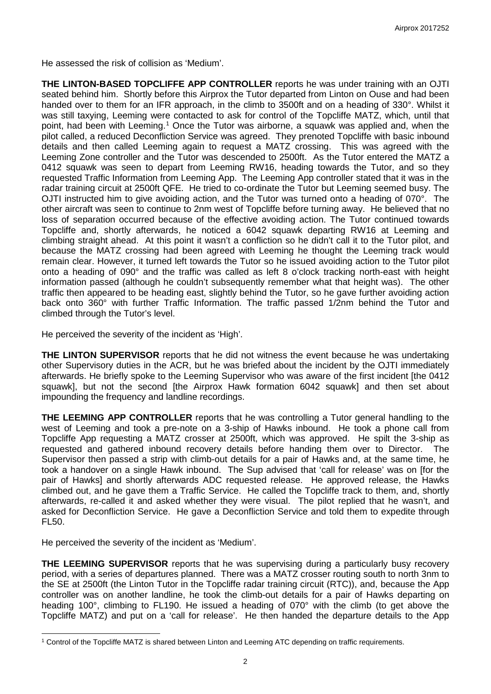He assessed the risk of collision as 'Medium'.

**THE LINTON-BASED TOPCLIFFE APP CONTROLLER** reports he was under training with an OJTI seated behind him. Shortly before this Airprox the Tutor departed from Linton on Ouse and had been handed over to them for an IFR approach, in the climb to 3500ft and on a heading of 330°. Whilst it was still taxying, Leeming were contacted to ask for control of the Topcliffe MATZ, which, until that point, had been with Leeming.<sup>[1](#page-1-0)</sup> Once the Tutor was airborne, a squawk was applied and, when the pilot called, a reduced Deconfliction Service was agreed. They prenoted Topcliffe with basic inbound details and then called Leeming again to request a MATZ crossing. This was agreed with the Leeming Zone controller and the Tutor was descended to 2500ft. As the Tutor entered the MATZ a 0412 squawk was seen to depart from Leeming RW16, heading towards the Tutor, and so they requested Traffic Information from Leeming App. The Leeming App controller stated that it was in the radar training circuit at 2500ft QFE. He tried to co-ordinate the Tutor but Leeming seemed busy. The OJTI instructed him to give avoiding action, and the Tutor was turned onto a heading of 070°. The other aircraft was seen to continue to 2nm west of Topcliffe before turning away. He believed that no loss of separation occurred because of the effective avoiding action. The Tutor continued towards Topcliffe and, shortly afterwards, he noticed a 6042 squawk departing RW16 at Leeming and climbing straight ahead. At this point it wasn't a confliction so he didn't call it to the Tutor pilot, and because the MATZ crossing had been agreed with Leeming he thought the Leeming track would remain clear. However, it turned left towards the Tutor so he issued avoiding action to the Tutor pilot onto a heading of 090° and the traffic was called as left 8 o'clock tracking north-east with height information passed (although he couldn't subsequently remember what that height was). The other traffic then appeared to be heading east, slightly behind the Tutor, so he gave further avoiding action back onto 360° with further Traffic Information. The traffic passed 1/2nm behind the Tutor and climbed through the Tutor's level.

He perceived the severity of the incident as 'High'.

**THE LINTON SUPERVISOR** reports that he did not witness the event because he was undertaking other Supervisory duties in the ACR, but he was briefed about the incident by the OJTI immediately afterwards. He briefly spoke to the Leeming Supervisor who was aware of the first incident [the 0412 squawk], but not the second [the Airprox Hawk formation 6042 squawk] and then set about impounding the frequency and landline recordings.

**THE LEEMING APP CONTROLLER** reports that he was controlling a Tutor general handling to the west of Leeming and took a pre-note on a 3-ship of Hawks inbound. He took a phone call from Topcliffe App requesting a MATZ crosser at 2500ft, which was approved. He spilt the 3-ship as requested and gathered inbound recovery details before handing them over to Director. The Supervisor then passed a strip with climb-out details for a pair of Hawks and, at the same time, he took a handover on a single Hawk inbound. The Sup advised that 'call for release' was on [for the pair of Hawks] and shortly afterwards ADC requested release. He approved release, the Hawks climbed out, and he gave them a Traffic Service. He called the Topcliffe track to them, and, shortly afterwards, re-called it and asked whether they were visual. The pilot replied that he wasn't, and asked for Deconfliction Service. He gave a Deconfliction Service and told them to expedite through FL50.

He perceived the severity of the incident as 'Medium'.

 $\overline{\phantom{a}}$ 

**THE LEEMING SUPERVISOR** reports that he was supervising during a particularly busy recovery period, with a series of departures planned. There was a MATZ crosser routing south to north 3nm to the SE at 2500ft (the Linton Tutor in the Topcliffe radar training circuit (RTC)), and, because the App controller was on another landline, he took the climb-out details for a pair of Hawks departing on heading 100°, climbing to FL190. He issued a heading of 070° with the climb (to get above the Topcliffe MATZ) and put on a 'call for release'. He then handed the departure details to the App

<span id="page-1-0"></span><sup>1</sup> Control of the Topcliffe MATZ is shared between Linton and Leeming ATC depending on traffic requirements.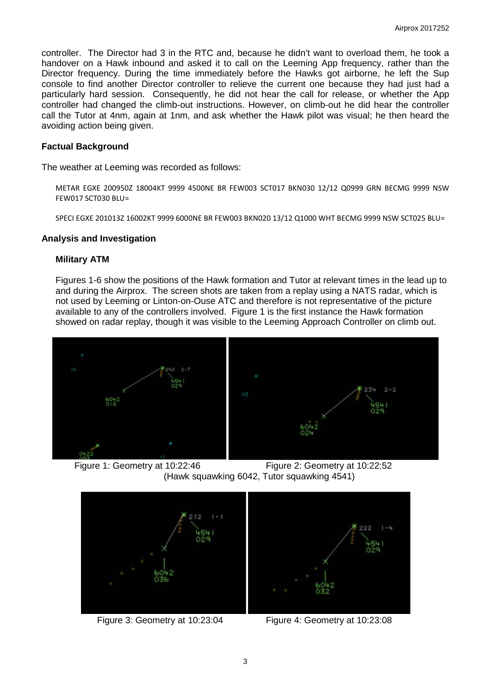controller. The Director had 3 in the RTC and, because he didn't want to overload them, he took a handover on a Hawk inbound and asked it to call on the Leeming App frequency, rather than the Director frequency. During the time immediately before the Hawks got airborne, he left the Sup console to find another Director controller to relieve the current one because they had just had a particularly hard session. Consequently, he did not hear the call for release, or whether the App controller had changed the climb-out instructions. However, on climb-out he did hear the controller call the Tutor at 4nm, again at 1nm, and ask whether the Hawk pilot was visual; he then heard the avoiding action being given.

### **Factual Background**

The weather at Leeming was recorded as follows:

METAR EGXE 200950Z 18004KT 9999 4500NE BR FEW003 SCT017 BKN030 12/12 Q0999 GRN BECMG 9999 NSW FEW017 SCT030 BLU=

SPECI EGXE 201013Z 16002KT 9999 6000NE BR FEW003 BKN020 13/12 Q1000 WHT BECMG 9999 NSW SCT025 BLU=

#### **Analysis and Investigation**

#### **Military ATM**

Figures 1-6 show the positions of the Hawk formation and Tutor at relevant times in the lead up to and during the Airprox. The screen shots are taken from a replay using a NATS radar, which is not used by Leeming or Linton-on-Ouse ATC and therefore is not representative of the picture available to any of the controllers involved. Figure 1 is the first instance the Hawk formation showed on radar replay, though it was visible to the Leeming Approach Controller on climb out.



 Figure 1: Geometry at 10:22:46 Figure 2: Geometry at 10:22:52 (Hawk squawking 6042, Tutor squawking 4541)



Figure 3: Geometry at 10:23:04 Figure 4: Geometry at 10:23:08

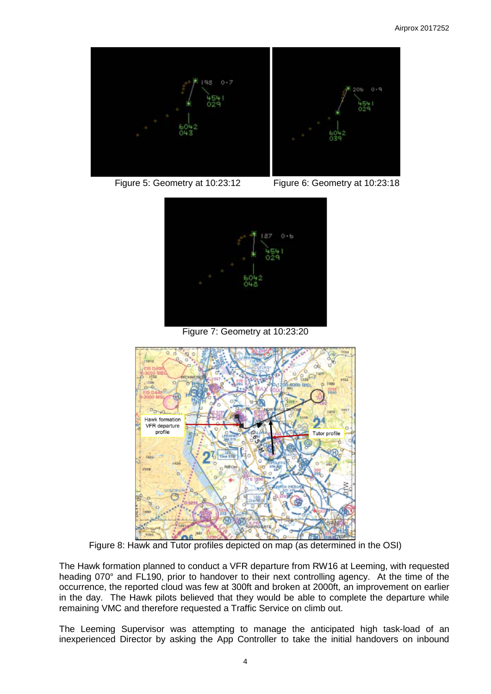

Figure 5: Geometry at 10:23:12 Figure 6: Geometry at 10:23:18



Figure 7: Geometry at 10:23:20



Figure 8: Hawk and Tutor profiles depicted on map (as determined in the OSI)

The Hawk formation planned to conduct a VFR departure from RW16 at Leeming, with requested heading 070° and FL190, prior to handover to their next controlling agency. At the time of the occurrence, the reported cloud was few at 300ft and broken at 2000ft, an improvement on earlier in the day. The Hawk pilots believed that they would be able to complete the departure while remaining VMC and therefore requested a Traffic Service on climb out.

The Leeming Supervisor was attempting to manage the anticipated high task-load of an inexperienced Director by asking the App Controller to take the initial handovers on inbound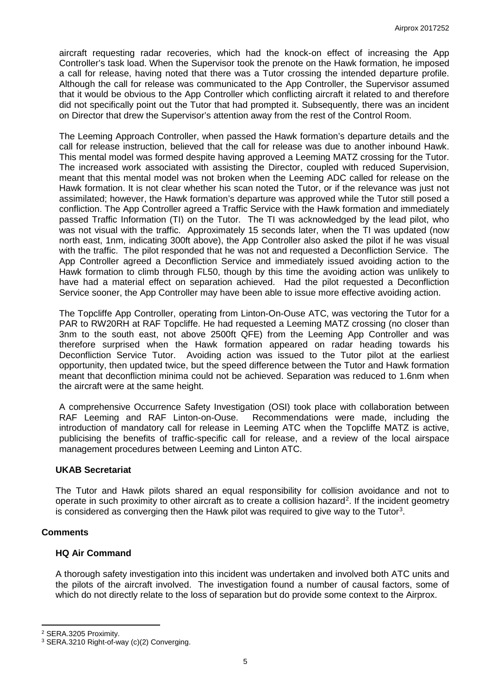aircraft requesting radar recoveries, which had the knock-on effect of increasing the App Controller's task load. When the Supervisor took the prenote on the Hawk formation, he imposed a call for release, having noted that there was a Tutor crossing the intended departure profile. Although the call for release was communicated to the App Controller, the Supervisor assumed that it would be obvious to the App Controller which conflicting aircraft it related to and therefore did not specifically point out the Tutor that had prompted it. Subsequently, there was an incident on Director that drew the Supervisor's attention away from the rest of the Control Room.

The Leeming Approach Controller, when passed the Hawk formation's departure details and the call for release instruction, believed that the call for release was due to another inbound Hawk. This mental model was formed despite having approved a Leeming MATZ crossing for the Tutor. The increased work associated with assisting the Director, coupled with reduced Supervision, meant that this mental model was not broken when the Leeming ADC called for release on the Hawk formation. It is not clear whether his scan noted the Tutor, or if the relevance was just not assimilated; however, the Hawk formation's departure was approved while the Tutor still posed a confliction. The App Controller agreed a Traffic Service with the Hawk formation and immediately passed Traffic Information (TI) on the Tutor. The TI was acknowledged by the lead pilot, who was not visual with the traffic. Approximately 15 seconds later, when the TI was updated (now north east, 1nm, indicating 300ft above), the App Controller also asked the pilot if he was visual with the traffic. The pilot responded that he was not and requested a Deconfliction Service. The App Controller agreed a Deconfliction Service and immediately issued avoiding action to the Hawk formation to climb through FL50, though by this time the avoiding action was unlikely to have had a material effect on separation achieved. Had the pilot requested a Deconfliction Service sooner, the App Controller may have been able to issue more effective avoiding action.

The Topcliffe App Controller, operating from Linton-On-Ouse ATC, was vectoring the Tutor for a PAR to RW20RH at RAF Topcliffe. He had requested a Leeming MATZ crossing (no closer than 3nm to the south east, not above 2500ft QFE) from the Leeming App Controller and was therefore surprised when the Hawk formation appeared on radar heading towards his Deconfliction Service Tutor. Avoiding action was issued to the Tutor pilot at the earliest opportunity, then updated twice, but the speed difference between the Tutor and Hawk formation meant that deconfliction minima could not be achieved. Separation was reduced to 1.6nm when the aircraft were at the same height.

A comprehensive Occurrence Safety Investigation (OSI) took place with collaboration between<br>RAF Leeming and RAF Linton-on-Ouse. Recommendations were made, including the Recommendations were made, including the introduction of mandatory call for release in Leeming ATC when the Topcliffe MATZ is active, publicising the benefits of traffic-specific call for release, and a review of the local airspace management procedures between Leeming and Linton ATC.

#### **UKAB Secretariat**

The Tutor and Hawk pilots shared an equal responsibility for collision avoidance and not to operate in such proximity to other aircraft as to create a collision hazard<sup>[2](#page-4-0)</sup>. If the incident geometry is considered as converging then the Hawk pilot was required to give way to the Tutor<sup>[3](#page-4-1)</sup>.

## **Comments**

l

## **HQ Air Command**

A thorough safety investigation into this incident was undertaken and involved both ATC units and the pilots of the aircraft involved. The investigation found a number of causal factors, some of which do not directly relate to the loss of separation but do provide some context to the Airprox.

<span id="page-4-0"></span><sup>2</sup> SERA.3205 Proximity.

<span id="page-4-1"></span><sup>3</sup> SERA.3210 Right-of-way (c)(2) Converging.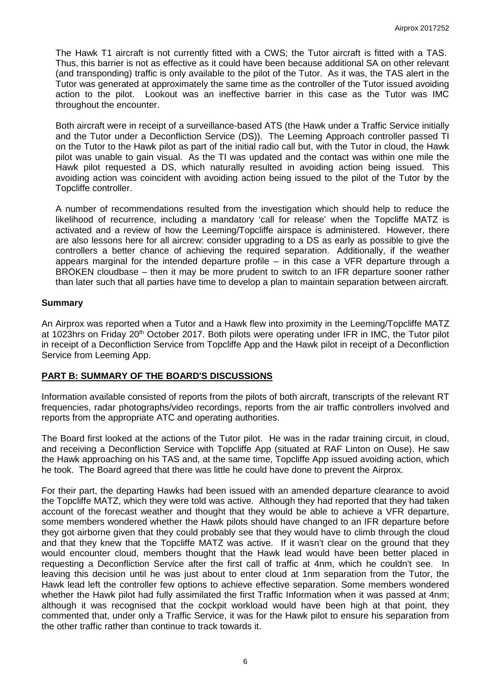The Hawk T1 aircraft is not currently fitted with a CWS; the Tutor aircraft is fitted with a TAS. Thus, this barrier is not as effective as it could have been because additional SA on other relevant (and transponding) traffic is only available to the pilot of the Tutor. As it was, the TAS alert in the Tutor was generated at approximately the same time as the controller of the Tutor issued avoiding action to the pilot. Lookout was an ineffective barrier in this case as the Tutor was IMC throughout the encounter.

Both aircraft were in receipt of a surveillance-based ATS (the Hawk under a Traffic Service initially and the Tutor under a Deconfliction Service (DS)). The Leeming Approach controller passed TI on the Tutor to the Hawk pilot as part of the initial radio call but, with the Tutor in cloud, the Hawk pilot was unable to gain visual. As the TI was updated and the contact was within one mile the Hawk pilot requested a DS, which naturally resulted in avoiding action being issued. This avoiding action was coincident with avoiding action being issued to the pilot of the Tutor by the Topcliffe controller.

A number of recommendations resulted from the investigation which should help to reduce the likelihood of recurrence, including a mandatory 'call for release' when the Topcliffe MATZ is activated and a review of how the Leeming/Topcliffe airspace is administered. However, there are also lessons here for all aircrew: consider upgrading to a DS as early as possible to give the controllers a better chance of achieving the required separation. Additionally, if the weather appears marginal for the intended departure profile – in this case a VFR departure through a BROKEN cloudbase – then it may be more prudent to switch to an IFR departure sooner rather than later such that all parties have time to develop a plan to maintain separation between aircraft.

#### **Summary**

An Airprox was reported when a Tutor and a Hawk flew into proximity in the Leeming/Topcliffe MATZ at 1023hrs on Friday 20<sup>th</sup> October 2017. Both pilots were operating under IFR in IMC, the Tutor pilot in receipt of a Deconfliction Service from Topcliffe App and the Hawk pilot in receipt of a Deconfliction Service from Leeming App.

## **PART B: SUMMARY OF THE BOARD'S DISCUSSIONS**

Information available consisted of reports from the pilots of both aircraft, transcripts of the relevant RT frequencies, radar photographs/video recordings, reports from the air traffic controllers involved and reports from the appropriate ATC and operating authorities.

The Board first looked at the actions of the Tutor pilot. He was in the radar training circuit, in cloud, and receiving a Deconfliction Service with Topcliffe App (situated at RAF Linton on Ouse). He saw the Hawk approaching on his TAS and, at the same time, Topcliffe App issued avoiding action, which he took. The Board agreed that there was little he could have done to prevent the Airprox.

For their part, the departing Hawks had been issued with an amended departure clearance to avoid the Topcliffe MATZ, which they were told was active. Although they had reported that they had taken account of the forecast weather and thought that they would be able to achieve a VFR departure, some members wondered whether the Hawk pilots should have changed to an IFR departure before they got airborne given that they could probably see that they would have to climb through the cloud and that they knew that the Topcliffe MATZ was active. If it wasn't clear on the ground that they would encounter cloud, members thought that the Hawk lead would have been better placed in requesting a Deconfliction Service after the first call of traffic at 4nm, which he couldn't see. In leaving this decision until he was just about to enter cloud at 1nm separation from the Tutor, the Hawk lead left the controller few options to achieve effective separation. Some members wondered whether the Hawk pilot had fully assimilated the first Traffic Information when it was passed at 4nm; although it was recognised that the cockpit workload would have been high at that point, they commented that, under only a Traffic Service, it was for the Hawk pilot to ensure his separation from the other traffic rather than continue to track towards it.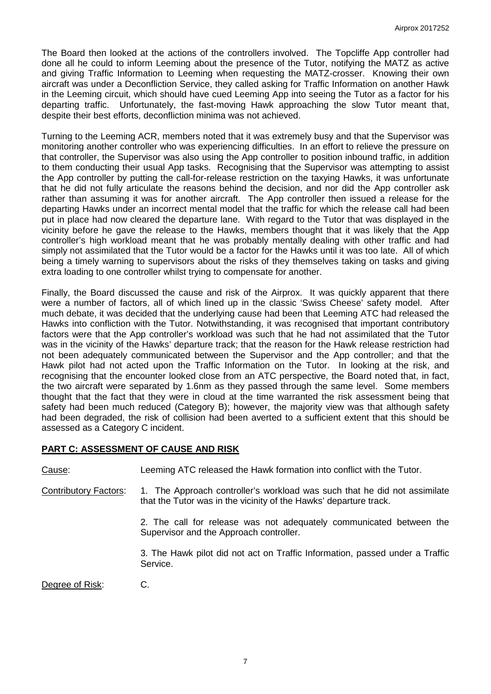The Board then looked at the actions of the controllers involved. The Topcliffe App controller had done all he could to inform Leeming about the presence of the Tutor, notifying the MATZ as active and giving Traffic Information to Leeming when requesting the MATZ-crosser. Knowing their own aircraft was under a Deconfliction Service, they called asking for Traffic Information on another Hawk in the Leeming circuit, which should have cued Leeming App into seeing the Tutor as a factor for his departing traffic. Unfortunately, the fast-moving Hawk approaching the slow Tutor meant that, despite their best efforts, deconfliction minima was not achieved.

Turning to the Leeming ACR, members noted that it was extremely busy and that the Supervisor was monitoring another controller who was experiencing difficulties. In an effort to relieve the pressure on that controller, the Supervisor was also using the App controller to position inbound traffic, in addition to them conducting their usual App tasks. Recognising that the Supervisor was attempting to assist the App controller by putting the call-for-release restriction on the taxying Hawks, it was unfortunate that he did not fully articulate the reasons behind the decision, and nor did the App controller ask rather than assuming it was for another aircraft. The App controller then issued a release for the departing Hawks under an incorrect mental model that the traffic for which the release call had been put in place had now cleared the departure lane. With regard to the Tutor that was displayed in the vicinity before he gave the release to the Hawks, members thought that it was likely that the App controller's high workload meant that he was probably mentally dealing with other traffic and had simply not assimilated that the Tutor would be a factor for the Hawks until it was too late. All of which being a timely warning to supervisors about the risks of they themselves taking on tasks and giving extra loading to one controller whilst trying to compensate for another.

Finally, the Board discussed the cause and risk of the Airprox. It was quickly apparent that there were a number of factors, all of which lined up in the classic 'Swiss Cheese' safety model. After much debate, it was decided that the underlying cause had been that Leeming ATC had released the Hawks into confliction with the Tutor. Notwithstanding, it was recognised that important contributory factors were that the App controller's workload was such that he had not assimilated that the Tutor was in the vicinity of the Hawks' departure track; that the reason for the Hawk release restriction had not been adequately communicated between the Supervisor and the App controller; and that the Hawk pilot had not acted upon the Traffic Information on the Tutor. In looking at the risk, and recognising that the encounter looked close from an ATC perspective, the Board noted that, in fact, the two aircraft were separated by 1.6nm as they passed through the same level. Some members thought that the fact that they were in cloud at the time warranted the risk assessment being that safety had been much reduced (Category B); however, the majority view was that although safety had been degraded, the risk of collision had been averted to a sufficient extent that this should be assessed as a Category C incident.

## **PART C: ASSESSMENT OF CAUSE AND RISK**

Cause: Leeming ATC released the Hawk formation into conflict with the Tutor.

Contributory Factors: 1. The Approach controller's workload was such that he did not assimilate that the Tutor was in the vicinity of the Hawks' departure track.

> 2. The call for release was not adequately communicated between the Supervisor and the Approach controller.

> 3. The Hawk pilot did not act on Traffic Information, passed under a Traffic Service.

Degree of Risk: C.